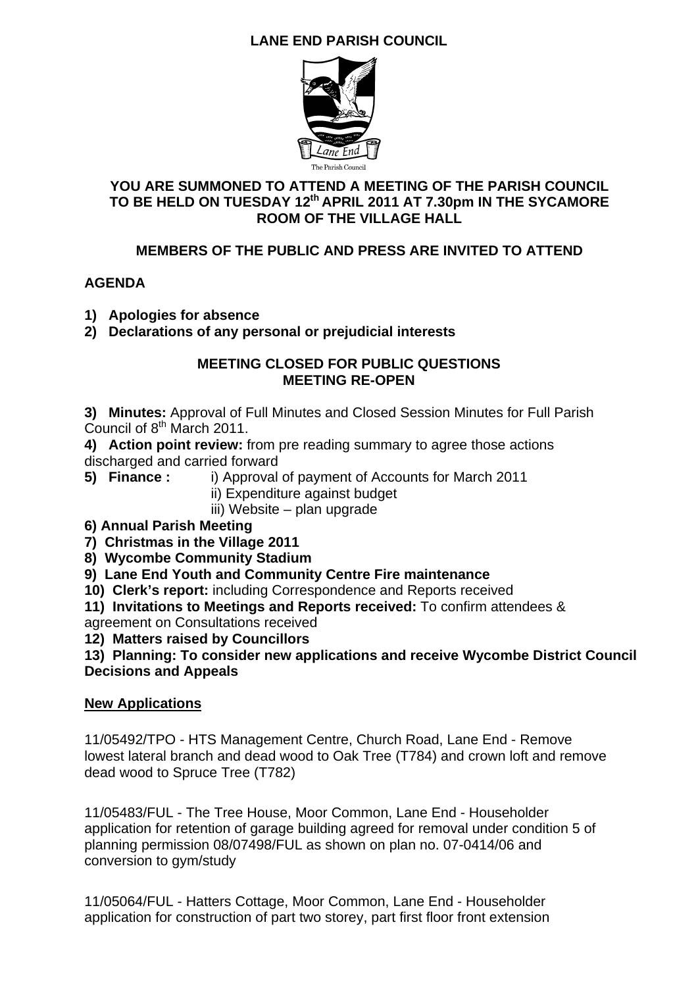# **LANE END PARISH COUNCIL**



### **YOU ARE SUMMONED TO ATTEND A MEETING OF THE PARISH COUNCIL TO BE HELD ON TUESDAY 12th APRIL 2011 AT 7.30pm IN THE SYCAMORE ROOM OF THE VILLAGE HALL**

## **MEMBERS OF THE PUBLIC AND PRESS ARE INVITED TO ATTEND**

### **AGENDA**

- **1) Apologies for absence**
- **2) Declarations of any personal or prejudicial interests**

#### **MEETING CLOSED FOR PUBLIC QUESTIONS MEETING RE-OPEN**

**3) Minutes:** Approval of Full Minutes and Closed Session Minutes for Full Parish Council of  $8<sup>th</sup>$  March 2011.

**4) Action point review:** from pre reading summary to agree those actions discharged and carried forward

**5) Finance :** i) Approval of payment of Accounts for March 2011

ii) Expenditure against budget

iii) Website – plan upgrade

### **6) Annual Parish Meeting**

**7) Christmas in the Village 2011** 

**8) Wycombe Community Stadium** 

**9) Lane End Youth and Community Centre Fire maintenance** 

**10) Clerk's report:** including Correspondence and Reports received

**11) Invitations to Meetings and Reports received:** To confirm attendees & agreement on Consultations received

**12) Matters raised by Councillors** 

**13) Planning: To consider new applications and receive Wycombe District Council Decisions and Appeals** 

## **New Applications**

11/05492/TPO - HTS Management Centre, Church Road, Lane End - Remove lowest lateral branch and dead wood to Oak Tree (T784) and crown loft and remove dead wood to Spruce Tree (T782)

11/05483/FUL - The Tree House, Moor Common, Lane End - Householder application for retention of garage building agreed for removal under condition 5 of planning permission 08/07498/FUL as shown on plan no. 07-0414/06 and conversion to gym/study

11/05064/FUL - Hatters Cottage, Moor Common, Lane End - Householder application for construction of part two storey, part first floor front extension